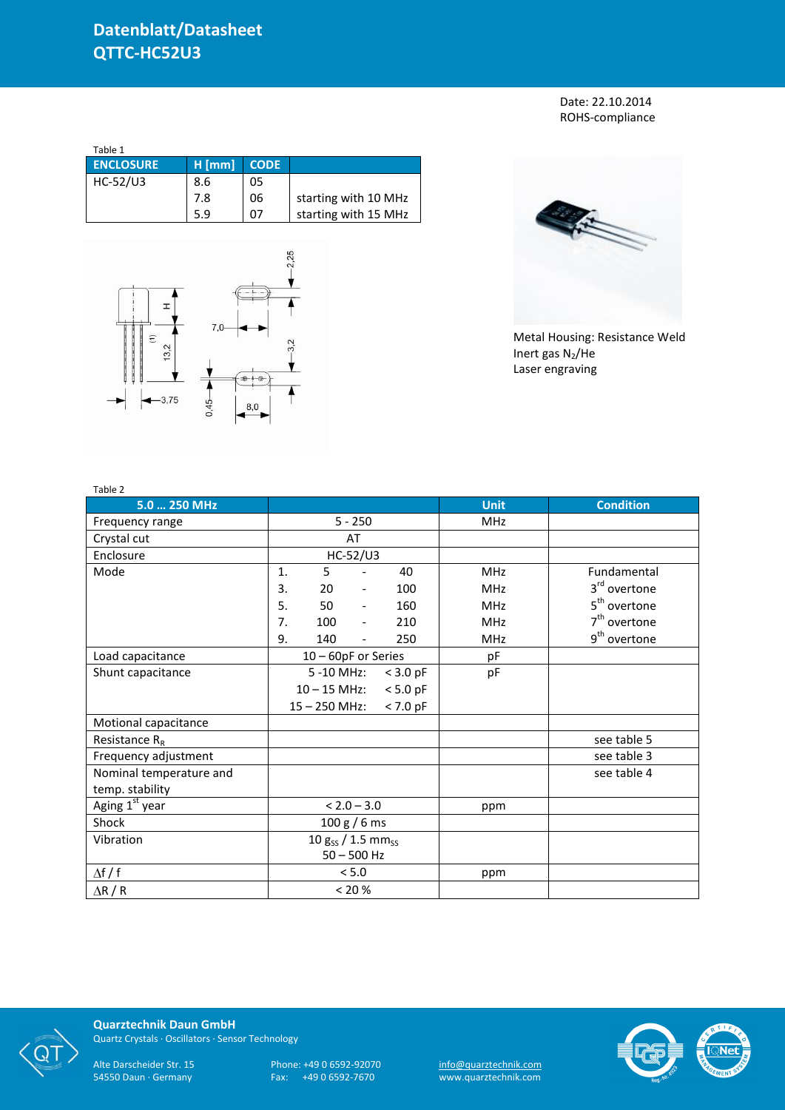Date: 22.10.2014 ROHS-compliance

| Table 1          |          |             |                      |
|------------------|----------|-------------|----------------------|
| <b>ENCLOSURE</b> | $H$ [mm] | <b>CODE</b> |                      |
| HC-52/U3         | 8.6      | 05          |                      |
|                  | 7.8      | 06          | starting with 10 MHz |
|                  | 5.9      | 07          | starting with 15 MHz |





Metal Housing: Resistance Weld Inert gas  $N_2$ /He Laser engraving

| Table 2                 |                                    |                     |                              |            |             |                          |
|-------------------------|------------------------------------|---------------------|------------------------------|------------|-------------|--------------------------|
| 5.0  250 MHz            |                                    |                     |                              |            | <b>Unit</b> | <b>Condition</b>         |
| Frequency range         | $5 - 250$                          |                     |                              |            | MHz         |                          |
| Crystal cut             |                                    |                     | AT                           |            |             |                          |
| Enclosure               |                                    |                     | HC-52/U3                     |            |             |                          |
| Mode                    | 1.                                 | 5                   |                              | 40         | <b>MHz</b>  | Fundamental              |
|                         | 3.                                 | 20                  | $\overline{\phantom{a}}$     | 100        | <b>MHz</b>  | 3 <sup>rd</sup> overtone |
|                         | 5.                                 | 50                  | $\qquad \qquad \blacksquare$ | 160        | <b>MHz</b>  | 5 <sup>th</sup> overtone |
|                         | 7.                                 | 100                 | $\frac{1}{2}$                | 210        | <b>MHz</b>  | $7th$ overtone           |
|                         | 9.                                 | 140                 | $\overline{a}$               | 250        | <b>MHz</b>  | 9 <sup>th</sup> overtone |
| Load capacitance        |                                    | 10 - 60pF or Series |                              |            | pF          |                          |
| Shunt capacitance       |                                    | 5 -10 MHz:          |                              | $<$ 3.0 pF | pF          |                          |
|                         | $10 - 15$ MHz:<br>$< 5.0$ pF       |                     |                              |            |             |                          |
|                         |                                    | $15 - 250$ MHz:     |                              | $< 7.0$ pF |             |                          |
| Motional capacitance    |                                    |                     |                              |            |             |                          |
| Resistance $R_R$        |                                    |                     |                              |            |             | see table 5              |
| Frequency adjustment    |                                    |                     |                              |            |             | see table 3              |
| Nominal temperature and |                                    |                     |                              |            |             | see table 4              |
| temp. stability         |                                    |                     |                              |            |             |                          |
| Aging 1st year          | $< 2.0 - 3.0$                      |                     | ppm                          |            |             |                          |
| Shock                   |                                    | 100 g / 6 ms        |                              |            |             |                          |
| Vibration               | 10 $g_{SS}$ / 1.5 mm <sub>ss</sub> |                     |                              |            |             |                          |
|                         |                                    | $50 - 500$ Hz       |                              |            |             |                          |
| $\Delta f / f$          |                                    | < 5.0               |                              |            | ppm         |                          |
| $\Delta$ R / R          | < 20 %                             |                     |                              |            |             |                          |



**Quarztechnik Daun GmbH** Quartz Crystals · Oscillators · Sensor Technology

Alte Darscheider Str. 15 Phone: +49 0 6592-92070 <u>info@quarztechnik.com</u>

54550 Daun · Germany Fax: +49 0 6592-7670 www.quarztechnik.com